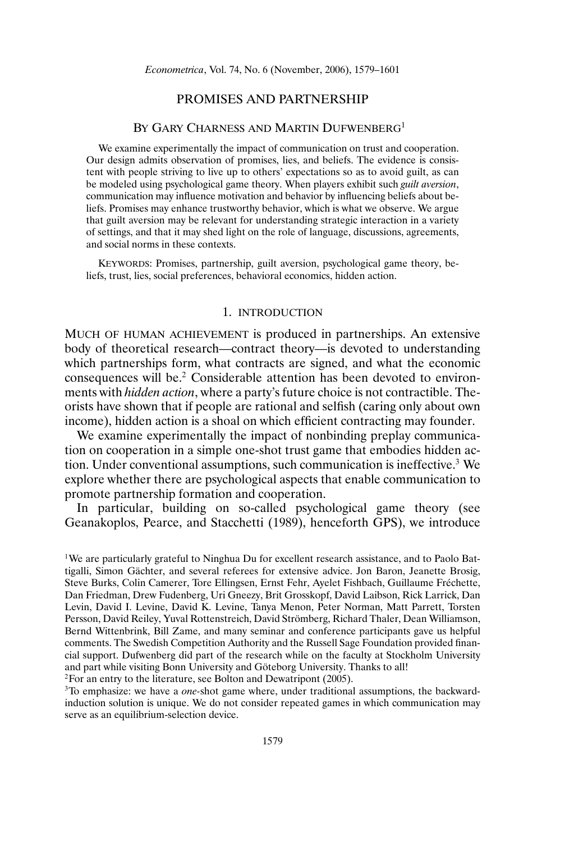# PROMISES AND PARTNERSHIP

# BY GARY CHARNESS AND MARTIN DUFWENBERG<sup>1</sup>

We examine experimentally the impact of communication on trust and cooperation. Our design admits observation of promises, lies, and beliefs. The evidence is consistent with people striving to live up to others' expectations so as to avoid guilt, as can be modeled using psychological game theory. When players exhibit such *guilt aversion*, communication may influence motivation and behavior by influencing beliefs about beliefs. Promises may enhance trustworthy behavior, which is what we observe. We argue that guilt aversion may be relevant for understanding strategic interaction in a variety of settings, and that it may shed light on the role of language, discussions, agreements, and social norms in these contexts.

KEYWORDS: Promises, partnership, guilt aversion, psychological game theory, beliefs, trust, lies, social preferences, behavioral economics, hidden action.

# 1. INTRODUCTION

MUCH OF HUMAN ACHIEVEMENT is produced in partnerships. An extensive body of theoretical research—contract theory—is devoted to understanding which partnerships form, what contracts are signed, and what the economic consequences will be.2 Considerable attention has been devoted to environments with *hidden action*, where a party's future choice is not contractible. Theorists have shown that if people are rational and selfish (caring only about own income), hidden action is a shoal on which efficient contracting may founder.

We examine experimentally the impact of nonbinding preplay communication on cooperation in a simple one-shot trust game that embodies hidden action. Under conventional assumptions, such communication is ineffective.3 We explore whether there are psychological aspects that enable communication to promote partnership formation and cooperation.

In particular, building on so-called psychological game theory (see Geanakoplos, Pearce, and Stacchetti (1989), henceforth GPS), we introduce

<sup>1</sup>We are particularly grateful to Ninghua Du for excellent research assistance, and to Paolo Battigalli, Simon Gächter, and several referees for extensive advice. Jon Baron, Jeanette Brosig, Steve Burks, Colin Camerer, Tore Ellingsen, Ernst Fehr, Ayelet Fishbach, Guillaume Fréchette, Dan Friedman, Drew Fudenberg, Uri Gneezy, Brit Grosskopf, David Laibson, Rick Larrick, Dan Levin, David I. Levine, David K. Levine, Tanya Menon, Peter Norman, Matt Parrett, Torsten Persson, David Reiley, Yuval Rottenstreich, David Strömberg, Richard Thaler, Dean Williamson, Bernd Wittenbrink, Bill Zame, and many seminar and conference participants gave us helpful comments. The Swedish Competition Authority and the Russell Sage Foundation provided financial support. Dufwenberg did part of the research while on the faculty at Stockholm University and part while visiting Bonn University and Göteborg University. Thanks to all!

 $2$ For an entry to the literature, see Bolton and Dewatripont (2005).

3To emphasize: we have a *one-*shot game where, under traditional assumptions, the backwardinduction solution is unique. We do not consider repeated games in which communication may serve as an equilibrium-selection device.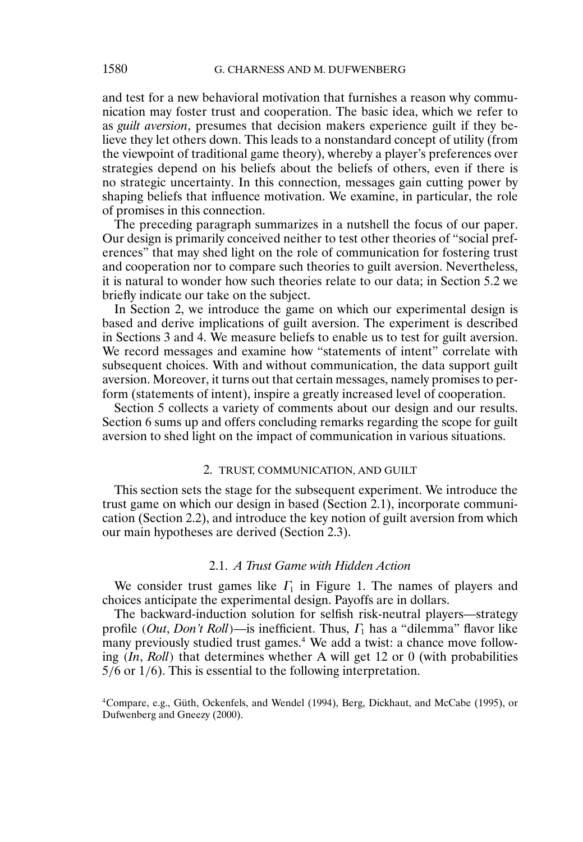and test for a new behavioral motivation that furnishes a reason why communication may foster trust and cooperation. The basic idea, which we refer to as *guilt aversion*, presumes that decision makers experience guilt if they believe they let others down. This leads to a nonstandard concept of utility (from the viewpoint of traditional game theory), whereby a player's preferences over strategies depend on his beliefs about the beliefs of others, even if there is no strategic uncertainty. In this connection, messages gain cutting power by shaping beliefs that influence motivation. We examine, in particular, the role of promises in this connection.

The preceding paragraph summarizes in a nutshell the focus of our paper. Our design is primarily conceived neither to test other theories of "social preferences" that may shed light on the role of communication for fostering trust and cooperation nor to compare such theories to guilt aversion. Nevertheless, it is natural to wonder how such theories relate to our data; in Section 5.2 we briefly indicate our take on the subject.

In Section 2, we introduce the game on which our experimental design is based and derive implications of guilt aversion. The experiment is described in Sections 3 and 4. We measure beliefs to enable us to test for guilt aversion. We record messages and examine how "statements of intent" correlate with subsequent choices. With and without communication, the data support guilt aversion. Moreover, it turns out that certain messages, namely promises to perform (statements of intent), inspire a greatly increased level of cooperation.

Section 5 collects a variety of comments about our design and our results. Section 6 sums up and offers concluding remarks regarding the scope for guilt aversion to shed light on the impact of communication in various situations.

#### 2. TRUST, COMMUNICATION, AND GUILT

This section sets the stage for the subsequent experiment. We introduce the trust game on which our design in based (Section 2.1), incorporate communication (Section 2.2), and introduce the key notion of guilt aversion from which our main hypotheses are derived (Section 2.3).

## 2.1. *A Trust Game with Hidden Action*

We consider trust games like  $\Gamma_1$  in Figure 1. The names of players and choices anticipate the experimental design. Payoffs are in dollars.

The backward-induction solution for selfish risk-neutral players—strategy profile (*Out*, *Don't Roll*)—is inefficient. Thus, Γ<sub>1</sub> has a "dilemma" flavor like many previously studied trust games.<sup>4</sup> We add a twist: a chance move following (*In*, *Roll*) that determines whether A will get 12 or 0 (with probabilities 5/6 or 1/6). This is essential to the following interpretation.

4Compare, e.g., Güth, Ockenfels, and Wendel (1994), Berg, Dickhaut, and McCabe (1995), or Dufwenberg and Gneezy (2000).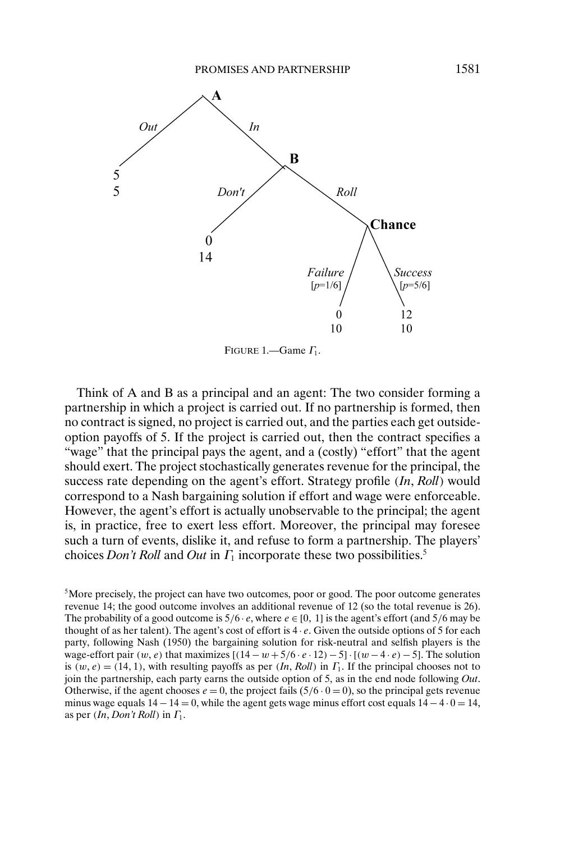

FIGURE 1.—Game  $\Gamma_1$ .

Think of A and B as a principal and an agent: The two consider forming a partnership in which a project is carried out. If no partnership is formed, then no contract is signed, no project is carried out, and the parties each get outsideoption payoffs of 5. If the project is carried out, then the contract specifies a "wage" that the principal pays the agent, and a (costly) "effort" that the agent should exert. The project stochastically generates revenue for the principal, the success rate depending on the agent's effort. Strategy profile (*In*, *Roll*) would correspond to a Nash bargaining solution if effort and wage were enforceable. However, the agent's effort is actually unobservable to the principal; the agent is, in practice, free to exert less effort. Moreover, the principal may foresee such a turn of events, dislike it, and refuse to form a partnership. The players' choices *Don't Roll* and *Out* in  $\Gamma_1$  incorporate these two possibilities.<sup>5</sup>

<sup>&</sup>lt;sup>5</sup>More precisely, the project can have two outcomes, poor or good. The poor outcome generates revenue 14; the good outcome involves an additional revenue of 12 (so the total revenue is 26). The probability of a good outcome is  $5/6 \cdot e$ , where  $e \in [0, 1]$  is the agent's effort (and  $5/6$  may be thought of as her talent). The agent's cost of effort is  $4 \cdot e$ . Given the outside options of 5 for each party, following Nash (1950) the bargaining solution for risk-neutral and selfish players is the wage-effort pair  $(w, e)$  that maximizes  $[(14 - w + 5/6 \cdot e \cdot 12) - 5] \cdot [(w - 4 \cdot e) - 5]$ . The solution is  $(w, e) = (14, 1)$ , with resulting payoffs as per  $(In, Roll)$  in  $\Gamma_1$ . If the principal chooses not to join the partnership, each party earns the outside option of 5, as in the end node following *Out*. Otherwise, if the agent chooses  $e = 0$ , the project fails  $(5/6 \cdot 0 = 0)$ , so the principal gets revenue minus wage equals  $14 - 14 = 0$ , while the agent gets wage minus effort cost equals  $14 - 4 \cdot 0 = 14$ , as per  $(In, Don't Roll)$  in  $\Gamma_1$ .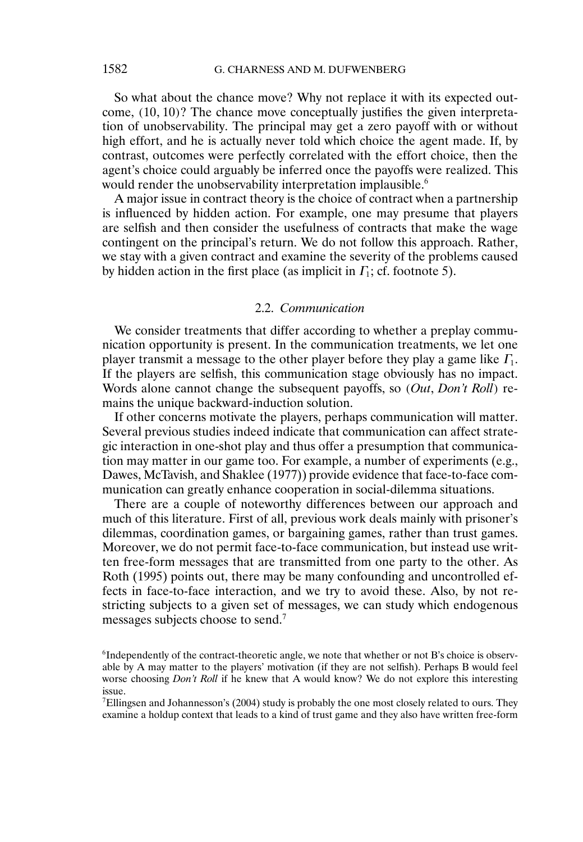So what about the chance move? Why not replace it with its expected outcome, (10, 10)? The chance move conceptually justifies the given interpretation of unobservability. The principal may get a zero payoff with or without high effort, and he is actually never told which choice the agent made. If, by contrast, outcomes were perfectly correlated with the effort choice, then the agent's choice could arguably be inferred once the payoffs were realized. This would render the unobservability interpretation implausible.<sup>6</sup>

A major issue in contract theory is the choice of contract when a partnership is influenced by hidden action. For example, one may presume that players are selfish and then consider the usefulness of contracts that make the wage contingent on the principal's return. We do not follow this approach. Rather, we stay with a given contract and examine the severity of the problems caused by hidden action in the first place (as implicit in  $\Gamma_1$ ; cf. footnote 5).

### 2.2. *Communication*

We consider treatments that differ according to whether a preplay communication opportunity is present. In the communication treatments, we let one player transmit a message to the other player before they play a game like  $\Gamma_1$ . If the players are selfish, this communication stage obviously has no impact. Words alone cannot change the subsequent payoffs, so (*Out*, *Don't Roll*) remains the unique backward-induction solution.

If other concerns motivate the players, perhaps communication will matter. Several previous studies indeed indicate that communication can affect strategic interaction in one-shot play and thus offer a presumption that communication may matter in our game too. For example, a number of experiments (e.g., Dawes, McTavish, and Shaklee (1977)) provide evidence that face-to-face communication can greatly enhance cooperation in social-dilemma situations.

There are a couple of noteworthy differences between our approach and much of this literature. First of all, previous work deals mainly with prisoner's dilemmas, coordination games, or bargaining games, rather than trust games. Moreover, we do not permit face-to-face communication, but instead use written free-form messages that are transmitted from one party to the other. As Roth (1995) points out, there may be many confounding and uncontrolled effects in face-to-face interaction, and we try to avoid these. Also, by not restricting subjects to a given set of messages, we can study which endogenous messages subjects choose to send.<sup>7</sup>

 $7Ellingsen$  and Johannesson's (2004) study is probably the one most closely related to ours. They examine a holdup context that leads to a kind of trust game and they also have written free-form

<sup>&</sup>lt;sup>6</sup>Independently of the contract-theoretic angle, we note that whether or not B's choice is observable by A may matter to the players' motivation (if they are not selfish). Perhaps B would feel worse choosing *Don't Roll* if he knew that A would know? We do not explore this interesting issue.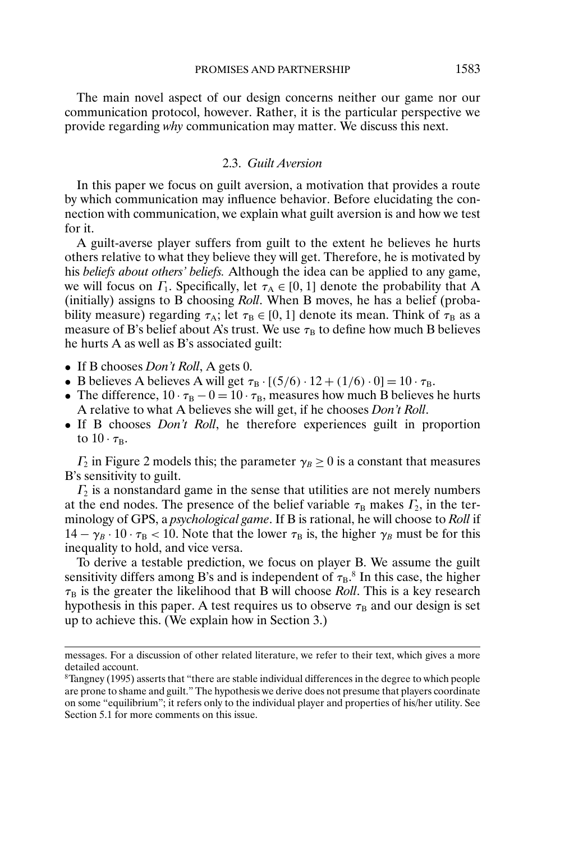The main novel aspect of our design concerns neither our game nor our communication protocol, however. Rather, it is the particular perspective we provide regarding *why* communication may matter. We discuss this next.

# 2.3. *Guilt Aversion*

In this paper we focus on guilt aversion, a motivation that provides a route by which communication may influence behavior. Before elucidating the connection with communication, we explain what guilt aversion is and how we test for it.

A guilt-averse player suffers from guilt to the extent he believes he hurts others relative to what they believe they will get. Therefore, he is motivated by his *beliefs about others' beliefs.* Although the idea can be applied to any game, we will focus on  $\Gamma_1$ . Specifically, let  $\tau_A \in [0, 1]$  denote the probability that A (initially) assigns to B choosing *Roll*. When B moves, he has a belief (probability measure) regarding  $\tau_A$ ; let  $\tau_B \in [0, 1]$  denote its mean. Think of  $\tau_B$  as a measure of B's belief about A's trust. We use  $\tau_B$  to define how much B believes he hurts A as well as B's associated guilt:

- If B chooses *Don't Roll*, A gets 0.
- B believes A believes A will get  $\tau_B \cdot [(5/6) \cdot 12 + (1/6) \cdot 0] = 10 \cdot \tau_B$ .
- The difference,  $10 \cdot \tau_B 0 = 10 \cdot \tau_B$ , measures how much B believes he hurts A relative to what A believes she will get, if he chooses *Don't Roll*.
- If B chooses *Don't Roll*, he therefore experiences guilt in proportion to  $10 \cdot \tau_{\text{B}}$ .

 $\Gamma_2$  in Figure 2 models this; the parameter  $\gamma_B \geq 0$  is a constant that measures B's sensitivity to guilt.

 $\Gamma_2$  is a nonstandard game in the sense that utilities are not merely numbers at the end nodes. The presence of the belief variable  $\tau_B$  makes  $\Gamma_2$ , in the terminology of GPS, a *psychological game*. If B is rational, he will choose to *Roll* if  $14 - \gamma_B \cdot 10 \cdot \tau_B < 10$ . Note that the lower  $\tau_B$  is, the higher  $\gamma_B$  must be for this inequality to hold, and vice versa.

To derive a testable prediction, we focus on player B. We assume the guilt sensitivity differs among B's and is independent of  $\tau_B$ .<sup>8</sup> In this case, the higher  $\tau_B$  is the greater the likelihood that B will choose *Roll*. This is a key research hypothesis in this paper. A test requires us to observe  $\tau_B$  and our design is set up to achieve this. (We explain how in Section 3.)

messages. For a discussion of other related literature, we refer to their text, which gives a more detailed account.

<sup>8</sup>Tangney (1995) asserts that "there are stable individual differences in the degree to which people are prone to shame and guilt." The hypothesis we derive does not presume that players coordinate on some "equilibrium"; it refers only to the individual player and properties of his/her utility. See Section 5.1 for more comments on this issue.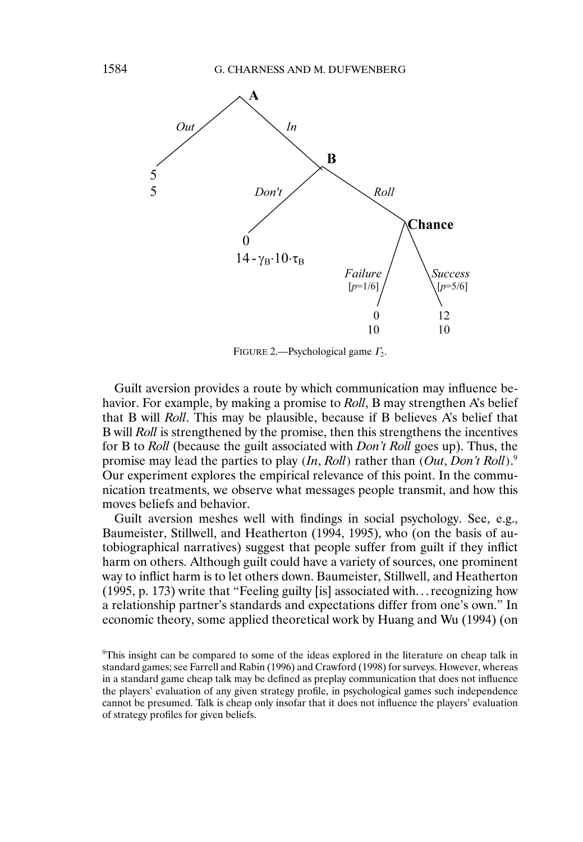

FIGURE 2.—Psychological game  $\Gamma_2$ .

Guilt aversion provides a route by which communication may influence behavior. For example, by making a promise to *Roll*, B may strengthen A's belief that B will *Roll*. This may be plausible, because if B believes A's belief that B will *Roll* is strengthened by the promise, then this strengthens the incentives for B to *Roll* (because the guilt associated with *Don't Roll* goes up). Thus, the promise may lead the parties to play (*In*, *Roll*) rather than (*Out*, *Don't Roll*). 9 Our experiment explores the empirical relevance of this point. In the communication treatments, we observe what messages people transmit, and how this moves beliefs and behavior.

Guilt aversion meshes well with findings in social psychology. See, e.g., Baumeister, Stillwell, and Heatherton (1994, 1995), who (on the basis of autobiographical narratives) suggest that people suffer from guilt if they inflict harm on others. Although guilt could have a variety of sources, one prominent way to inflict harm is to let others down. Baumeister, Stillwell, and Heatherton (1995, p. 173) write that "Feeling guilty [is] associated with. . . recognizing how a relationship partner's standards and expectations differ from one's own." In economic theory, some applied theoretical work by Huang and Wu (1994) (on

9This insight can be compared to some of the ideas explored in the literature on cheap talk in standard games; see Farrell and Rabin (1996) and Crawford (1998) for surveys. However, whereas in a standard game cheap talk may be defined as preplay communication that does not influence the players' evaluation of any given strategy profile, in psychological games such independence cannot be presumed. Talk is cheap only insofar that it does not influence the players' evaluation of strategy profiles for given beliefs.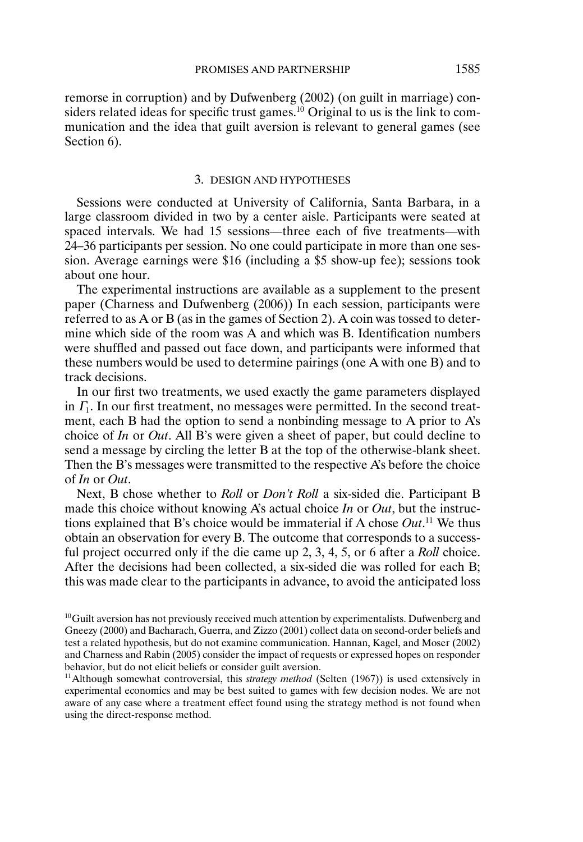remorse in corruption) and by Dufwenberg (2002) (on guilt in marriage) considers related ideas for specific trust games.<sup>10</sup> Original to us is the link to communication and the idea that guilt aversion is relevant to general games (see Section 6).

#### 3. DESIGN AND HYPOTHESES

Sessions were conducted at University of California, Santa Barbara, in a large classroom divided in two by a center aisle. Participants were seated at spaced intervals. We had 15 sessions—three each of five treatments—with 24–36 participants per session. No one could participate in more than one session. Average earnings were \$16 (including a \$5 show-up fee); sessions took about one hour.

The experimental instructions are available as a supplement to the present paper (Charness and Dufwenberg (2006)) In each session, participants were referred to as A or B (as in the games of Section 2). A coin was tossed to determine which side of the room was A and which was B. Identification numbers were shuffled and passed out face down, and participants were informed that these numbers would be used to determine pairings (one A with one B) and to track decisions.

In our first two treatments, we used exactly the game parameters displayed in  $\Gamma_1$ . In our first treatment, no messages were permitted. In the second treatment, each B had the option to send a nonbinding message to A prior to A's choice of *In* or *Out*. All B's were given a sheet of paper, but could decline to send a message by circling the letter B at the top of the otherwise-blank sheet. Then the B's messages were transmitted to the respective A's before the choice of *In* or *Out*.

Next, B chose whether to *Roll* or *Don't Roll* a six-sided die. Participant B made this choice without knowing A's actual choice *In* or *Out*, but the instructions explained that B's choice would be immaterial if A chose *Out*. <sup>11</sup> We thus obtain an observation for every B. The outcome that corresponds to a successful project occurred only if the die came up 2, 3, 4, 5, or 6 after a *Roll* choice. After the decisions had been collected, a six-sided die was rolled for each B; this was made clear to the participants in advance, to avoid the anticipated loss

11Although somewhat controversial, this *strategy method* (Selten (1967)) is used extensively in experimental economics and may be best suited to games with few decision nodes. We are not aware of any case where a treatment effect found using the strategy method is not found when using the direct-response method.

 $10$ Guilt aversion has not previously received much attention by experimentalists. Dufwenberg and Gneezy (2000) and Bacharach, Guerra, and Zizzo (2001) collect data on second-order beliefs and test a related hypothesis, but do not examine communication. Hannan, Kagel, and Moser (2002) and Charness and Rabin (2005) consider the impact of requests or expressed hopes on responder behavior, but do not elicit beliefs or consider guilt aversion.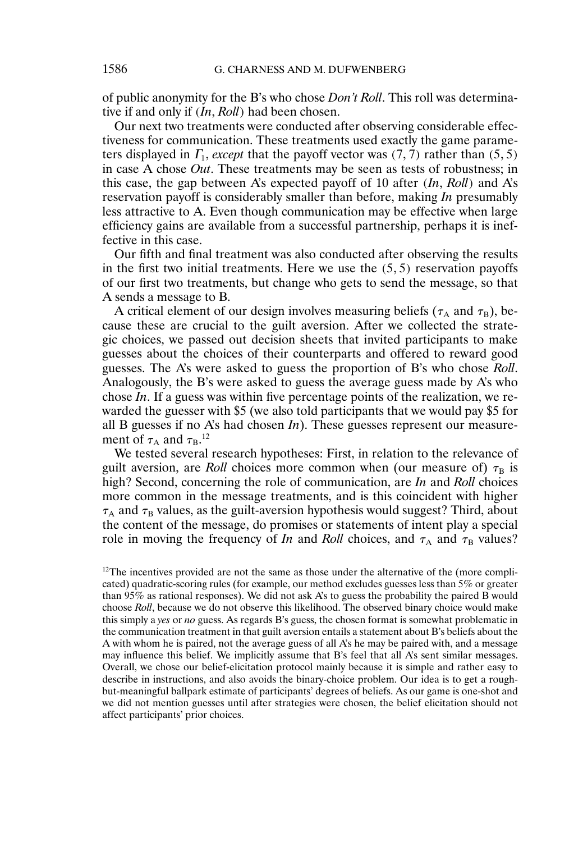of public anonymity for the B's who chose *Don't Roll*. This roll was determinative if and only if (*In*, *Roll*) had been chosen.

Our next two treatments were conducted after observing considerable effectiveness for communication. These treatments used exactly the game parameters displayed in  $\Gamma_1$ , *except* that the payoff vector was  $(7, 7)$  rather than  $(5, 5)$ in case A chose *Out*. These treatments may be seen as tests of robustness; in this case, the gap between A's expected payoff of 10 after (*In*, *Roll*) and A's reservation payoff is considerably smaller than before, making *In* presumably less attractive to A. Even though communication may be effective when large efficiency gains are available from a successful partnership, perhaps it is ineffective in this case.

Our fifth and final treatment was also conducted after observing the results in the first two initial treatments. Here we use the  $(5, 5)$  reservation payoffs of our first two treatments, but change who gets to send the message, so that A sends a message to B.

A critical element of our design involves measuring beliefs ( $\tau_A$  and  $\tau_B$ ), because these are crucial to the guilt aversion. After we collected the strategic choices, we passed out decision sheets that invited participants to make guesses about the choices of their counterparts and offered to reward good guesses. The A's were asked to guess the proportion of B's who chose *Roll*. Analogously, the B's were asked to guess the average guess made by A's who chose *In*. If a guess was within five percentage points of the realization, we rewarded the guesser with \$5 (we also told participants that we would pay \$5 for all B guesses if no A's had chosen *In*). These guesses represent our measurement of  $\tau_A$  and  $\tau_B$ .<sup>12</sup>

We tested several research hypotheses: First, in relation to the relevance of guilt aversion, are *Roll* choices more common when (our measure of)  $\tau_B$  is high? Second, concerning the role of communication, are *In* and *Roll* choices more common in the message treatments, and is this coincident with higher  $\tau_A$  and  $\tau_B$  values, as the guilt-aversion hypothesis would suggest? Third, about the content of the message, do promises or statements of intent play a special role in moving the frequency of *In* and *Roll* choices, and  $\tau_A$  and  $\tau_B$  values?

 $12$ The incentives provided are not the same as those under the alternative of the (more complicated) quadratic-scoring rules (for example, our method excludes guesses less than 5% or greater than 95% as rational responses). We did not ask A's to guess the probability the paired B would choose *Roll*, because we do not observe this likelihood. The observed binary choice would make this simply a *yes* or *no* guess. As regards B's guess, the chosen format is somewhat problematic in the communication treatment in that guilt aversion entails a statement about B's beliefs about the A with whom he is paired, not the average guess of all A's he may be paired with, and a message may influence this belief. We implicitly assume that B's feel that all A's sent similar messages. Overall, we chose our belief-elicitation protocol mainly because it is simple and rather easy to describe in instructions, and also avoids the binary-choice problem. Our idea is to get a roughbut-meaningful ballpark estimate of participants' degrees of beliefs. As our game is one-shot and we did not mention guesses until after strategies were chosen, the belief elicitation should not affect participants' prior choices.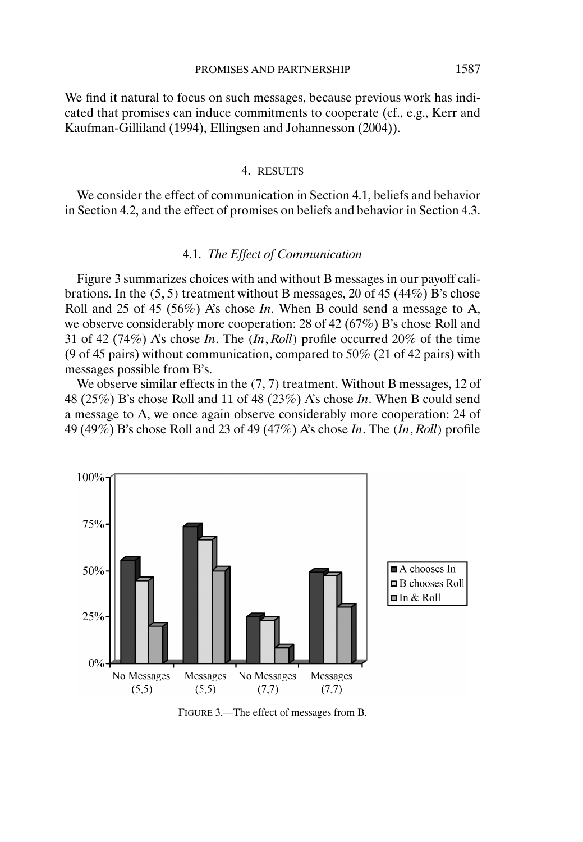We find it natural to focus on such messages, because previous work has indicated that promises can induce commitments to cooperate (cf., e.g., Kerr and Kaufman-Gilliland (1994), Ellingsen and Johannesson (2004)).

### 4. RESULTS

We consider the effect of communication in Section 4.1, beliefs and behavior in Section 4.2, and the effect of promises on beliefs and behavior in Section 4.3.

## 4.1. *The Effect of Communication*

Figure 3 summarizes choices with and without B messages in our payoff calibrations. In the (5- 5) treatment without B messages, 20 of 45 (44%) B's chose Roll and 25 of 45 (56%) A's chose *In*. When B could send a message to A, we observe considerably more cooperation: 28 of 42 (67%) B's chose Roll and 31 of 42 (74%) A's chose *In*. The (*In*-*Roll*) profile occurred 20% of the time (9 of 45 pairs) without communication, compared to 50% (21 of 42 pairs) with messages possible from B's.

We observe similar effects in the (7, 7) treatment. Without B messages, 12 of 48 (25%) B's chose Roll and 11 of 48 (23%) A's chose *In*. When B could send a message to A, we once again observe considerably more cooperation: 24 of 49 (49%) B's chose Roll and 23 of 49 (47%) A's chose *In*. The (*In*-*Roll*) profile



FIGURE 3.—The effect of messages from B.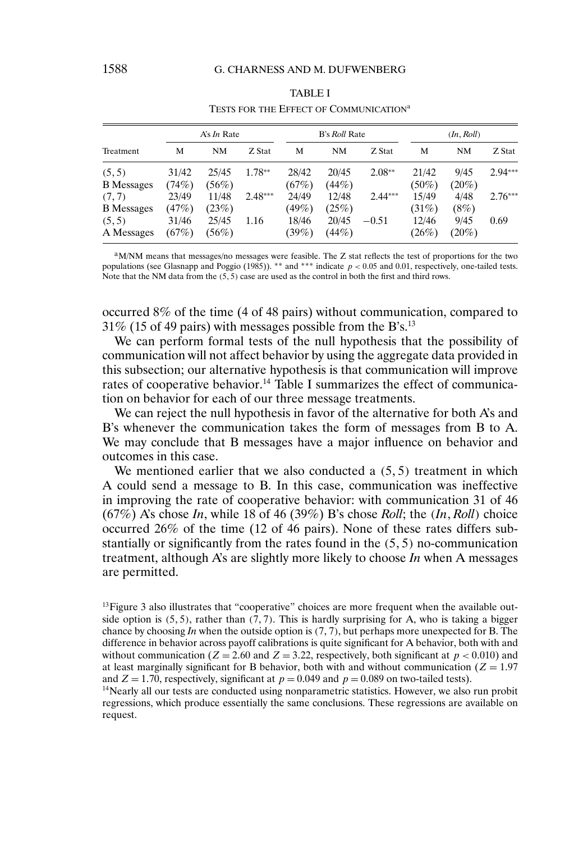|                             | A's In Rate    |                |           | B's Roll Rate  |                |           | (In, Roll)        |                  |           |
|-----------------------------|----------------|----------------|-----------|----------------|----------------|-----------|-------------------|------------------|-----------|
| Treatment                   | М              | <b>NM</b>      | Z Stat    | М              | NM             | Z Stat    | М                 | NM               | Z Stat    |
| (5, 5)<br><b>B</b> Messages | 31/42<br>(74%) | 25/45<br>(56%) | $1.78**$  | 28/42<br>(67%) | 20/45<br>(44%) | $2.08**$  | 21/42<br>$(50\%)$ | 9/45<br>$(20\%)$ | $2.94***$ |
| (7, 7)<br><b>B</b> Messages | 23/49<br>(47%) | 11/48<br>(23%) | $2.48***$ | 24/49<br>(49%) | 12/48<br>(25%) | $2.44***$ | 15/49<br>(31%)    | 4/48<br>(8%)     | $2.76***$ |
| (5, 5)<br>A Messages        | 31/46<br>(67%) | 25/45<br>(56%) | 1.16      | 18/46<br>(39%) | 20/45<br>(44%) | $-0.51$   | 12/46<br>(26%)    | 9/45<br>$(20\%)$ | 0.69      |

| <b>TABLE I</b>                                           |
|----------------------------------------------------------|
| <b>TESTS FOR THE EFFECT OF COMMUNICATION<sup>a</sup></b> |

aM/NM means that messages/no messages were feasible. The Z stat reflects the test of proportions for the two populations (see Glasnapp and Poggio (1985)). \*\* and \*\*\* indicate  $p < 0.05$  and 0.01, respectively, one-tailed tests. Note that the NM data from the  $(5, 5)$  case are used as the control in both the first and third rows.

occurred 8% of the time (4 of 48 pairs) without communication, compared to  $31\%$  (15 of 49 pairs) with messages possible from the B's.<sup>13</sup>

We can perform formal tests of the null hypothesis that the possibility of communication will not affect behavior by using the aggregate data provided in this subsection; our alternative hypothesis is that communication will improve rates of cooperative behavior.<sup>14</sup> Table I summarizes the effect of communication on behavior for each of our three message treatments.

We can reject the null hypothesis in favor of the alternative for both A's and B's whenever the communication takes the form of messages from B to A. We may conclude that B messages have a major influence on behavior and outcomes in this case.

We mentioned earlier that we also conducted a  $(5, 5)$  treatment in which A could send a message to B. In this case, communication was ineffective in improving the rate of cooperative behavior: with communication 31 of 46 (67%) A's chose *In*, while 18 of 46 (39%) B's chose *Roll*; the (*In*-*Roll*) choice occurred 26% of the time (12 of 46 pairs). None of these rates differs substantially or significantly from the rates found in the  $(5, 5)$  no-communication treatment, although A's are slightly more likely to choose *In* when A messages are permitted.

<sup>14</sup> Nearly all our tests are conducted using nonparametric statistics. However, we also run probit regressions, which produce essentially the same conclusions. These regressions are available on request.

 $13$  Figure 3 also illustrates that "cooperative" choices are more frequent when the available outside option is  $(5, 5)$ , rather than  $(7, 7)$ . This is hardly surprising for A, who is taking a bigger chance by choosing *In* when the outside option is (7, 7), but perhaps more unexpected for B. The difference in behavior across payoff calibrations is quite significant for A behavior, both with and without communication ( $Z = 2.60$  and  $Z = 3.22$ , respectively, both significant at  $p < 0.010$ ) and at least marginally significant for B behavior, both with and without communication ( $Z = 1.97$  and  $Z = 1.70$ , respectively, significant at  $p = 0.049$  and  $p = 0.089$  on two-tailed tests).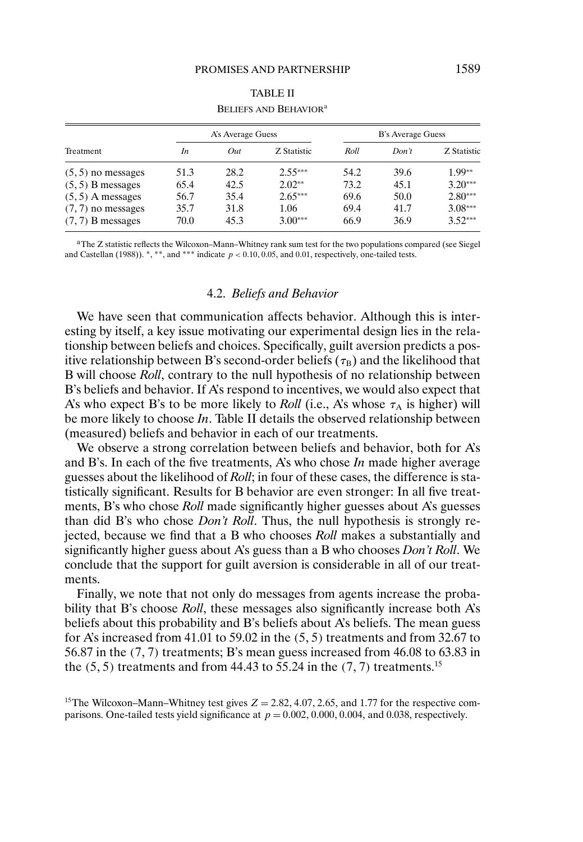### TABLE II

|                      |      | A's Average Guess |             | B's Average Guess |       |             |  |
|----------------------|------|-------------------|-------------|-------------------|-------|-------------|--|
| Treatment            | In   | Out               | Z Statistic | Roll              | Don't | Z Statistic |  |
| $(5, 5)$ no messages | 51.3 | 28.2              | $2.55***$   | 54.2              | 39.6  | 1.99**      |  |
| $(5, 5)$ B messages  | 65.4 | 42.5              | $2.02**$    | 73.2              | 45.1  | $3.20***$   |  |
| $(5, 5)$ A messages  | 56.7 | 35.4              | $2.65***$   | 69.6              | 50.0  | $2.80***$   |  |
| $(7, 7)$ no messages | 35.7 | 31.8              | 1.06        | 69.4              | 41.7  | $3.08***$   |  |
| $(7, 7)$ B messages  | 70.0 | 45.3              | $3.00***$   | 66.9              | 36.9  | $3.52***$   |  |

# BELIEFS AND BEHAVIOR<sup>a</sup>

aThe Z statistic reflects the Wilcoxon–Mann–Whitney rank sum test for the two populations compared (see Siegel and Castellan (1988)).  $\ast$ ,  $\ast\ast$ , and  $\ast\ast\ast$  indicate  $p < 0.10, 0.05$ , and 0.01, respectively, one-tailed tests.

# 4.2. *Beliefs and Behavior*

We have seen that communication affects behavior. Although this is interesting by itself, a key issue motivating our experimental design lies in the relationship between beliefs and choices. Specifically, guilt aversion predicts a positive relationship between B's second-order beliefs ( $\tau_B$ ) and the likelihood that B will choose *Roll*, contrary to the null hypothesis of no relationship between B's beliefs and behavior. If A's respond to incentives, we would also expect that A's who expect B's to be more likely to *Roll* (i.e., A's whose  $\tau_A$  is higher) will be more likely to choose *In*. Table II details the observed relationship between (measured) beliefs and behavior in each of our treatments.

We observe a strong correlation between beliefs and behavior, both for A's and B's. In each of the five treatments, A's who chose *In* made higher average guesses about the likelihood of *Roll*; in four of these cases, the difference is statistically significant. Results for B behavior are even stronger: In all five treatments, B's who chose *Roll* made significantly higher guesses about A's guesses than did B's who chose *Don't Roll*. Thus, the null hypothesis is strongly rejected, because we find that a B who chooses *Roll* makes a substantially and significantly higher guess about A's guess than a B who chooses *Don't Roll*. We conclude that the support for guilt aversion is considerable in all of our treatments.

Finally, we note that not only do messages from agents increase the probability that B's choose *Roll*, these messages also significantly increase both A's beliefs about this probability and B's beliefs about A's beliefs. The mean guess for A's increased from  $41.01$  to 59.02 in the  $(5, 5)$  treatments and from 32.67 to 56.87 in the (7, 7) treatments; B's mean guess increased from 46.08 to 63.83 in the  $(5, 5)$  treatments and from 44.43 to 55.24 in the  $(7, 7)$  treatments.<sup>15</sup>

<sup>15</sup>The Wilcoxon–Mann–Whitney test gives  $Z = 2.82, 4.07, 2.65,$  and 1.77 for the respective comparisons. One-tailed tests yield significance at  $p = 0.002, 0.000, 0.004,$  and 0.038, respectively.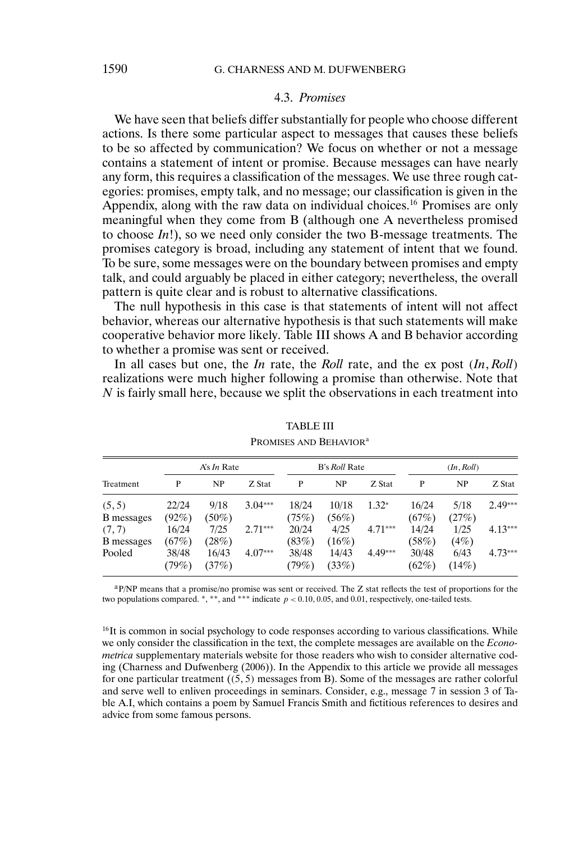# 1590 G. CHARNESS AND M. DUFWENBERG

# 4.3. *Promises*

We have seen that beliefs differ substantially for people who choose different actions. Is there some particular aspect to messages that causes these beliefs to be so affected by communication? We focus on whether or not a message contains a statement of intent or promise. Because messages can have nearly any form, this requires a classification of the messages. We use three rough categories: promises, empty talk, and no message; our classification is given in the Appendix, along with the raw data on individual choices.<sup>16</sup> Promises are only meaningful when they come from B (although one A nevertheless promised to choose *In*!), so we need only consider the two B-message treatments. The promises category is broad, including any statement of intent that we found. To be sure, some messages were on the boundary between promises and empty talk, and could arguably be placed in either category; nevertheless, the overall pattern is quite clear and is robust to alternative classifications.

The null hypothesis in this case is that statements of intent will not affect behavior, whereas our alternative hypothesis is that such statements will make cooperative behavior more likely. Table III shows A and B behavior according to whether a promise was sent or received.

In all cases but one, the *In* rate, the *Roll* rate, and the ex post (*In*-*Roll*) realizations were much higher following a promise than otherwise. Note that  $N$  is fairly small here, because we split the observations in each treatment into

|            | As In Rate |          |           | B's Roll Rate |       |           | (In, Roll) |       |           |
|------------|------------|----------|-----------|---------------|-------|-----------|------------|-------|-----------|
| Treatment  | P          | NP       | Z Stat    | P             | NP    | Z Stat    | P          | NP    | Z Stat    |
| (5, 5)     | 22/24      | 9/18     | $3.04***$ | 18/24         | 10/18 | $1.32*$   | 16/24      | 5/18  | $2.49***$ |
| B messages | (92%)      | $(50\%)$ |           | (75%)         | (56%) |           | (67%)      | (27%) |           |
| (7, 7)     | 16/24      | 7/25     | $2.71***$ | 20/24         | 4/25  | $4.71***$ | 14/24      | 1/25  | $4.13***$ |
| B messages | (67%)      | (28%)    |           | (83%)         | (16%) |           | (58%)      | (4%)  |           |
| Pooled     | 38/48      | 16/43    | $4.07***$ | 38/48         | 14/43 | $4.49***$ | 30/48      | 6/43  | $4.73***$ |
|            | (79%)      | (37%)    |           | (79%)         | (33%) |           | (62%)      | (14%) |           |

TABLE III PROMISES AND BEHAVIOR<sup>a</sup>

aP/NP means that a promise/no promise was sent or received. The Z stat reflects the test of proportions for the two populations compared.  $\ast$ ,  $\ast\ast$ , and  $\ast\ast\ast$  indicate  $p < 0.10, 0.05$ , and 0.01, respectively, one-tailed tests.

<sup>16</sup>It is common in social psychology to code responses according to various classifications. While we only consider the classification in the text, the complete messages are available on the *Econometrica* supplementary materials website for those readers who wish to consider alternative coding (Charness and Dufwenberg (2006)). In the Appendix to this article we provide all messages for one particular treatment ((5- 5) messages from B). Some of the messages are rather colorful and serve well to enliven proceedings in seminars. Consider, e.g., message 7 in session 3 of Table A.I, which contains a poem by Samuel Francis Smith and fictitious references to desires and advice from some famous persons.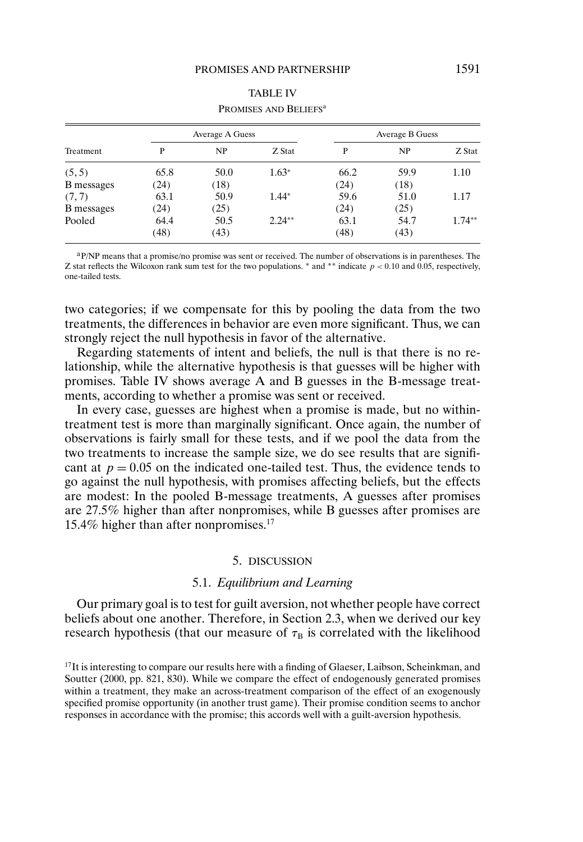|                   |      | Average A Guess |          |      | <b>Average B Guess</b> |          |  |
|-------------------|------|-----------------|----------|------|------------------------|----------|--|
| Treatment         | P    | NP              | Z Stat   | P    | NP                     | Z Stat   |  |
| (5, 5)            | 65.8 | 50.0            | $1.63*$  | 66.2 | 59.9                   | 1.10     |  |
| <b>B</b> messages | (24) | (18)            |          | (24) | (18)                   |          |  |
| (7, 7)            | 63.1 | 50.9            | $1.44*$  | 59.6 | 51.0                   | 1.17     |  |
| <b>B</b> messages | (24) | (25)            |          | (24) | (25)                   |          |  |
| Pooled            | 64.4 | 50.5            | $2.24**$ | 63.1 | 54.7                   | $1.74**$ |  |
|                   | (48) | (43)            |          | (48) | (43)                   |          |  |

#### TABLE IV

# PROMISES AND BELIEFS<sup>a</sup>

aP/NP means that a promise/no promise was sent or received. The number of observations is in parentheses. The Z stat reflects the Wilcoxon rank sum test for the two populations. \* and \*\* indicate  $p < 0.10$  and 0.05, respectively, one-tailed tests.

two categories; if we compensate for this by pooling the data from the two treatments, the differences in behavior are even more significant. Thus, we can strongly reject the null hypothesis in favor of the alternative.

Regarding statements of intent and beliefs, the null is that there is no relationship, while the alternative hypothesis is that guesses will be higher with promises. Table IV shows average A and B guesses in the B-message treatments, according to whether a promise was sent or received.

In every case, guesses are highest when a promise is made, but no withintreatment test is more than marginally significant. Once again, the number of observations is fairly small for these tests, and if we pool the data from the two treatments to increase the sample size, we do see results that are significant at  $p = 0.05$  on the indicated one-tailed test. Thus, the evidence tends to go against the null hypothesis, with promises affecting beliefs, but the effects are modest: In the pooled B-message treatments, A guesses after promises are 27.5% higher than after nonpromises, while B guesses after promises are 15.4% higher than after nonpromises.17

# 5. DISCUSSION

# 5.1. *Equilibrium and Learning*

Our primary goal is to test for guilt aversion, not whether people have correct beliefs about one another. Therefore, in Section 2.3, when we derived our key research hypothesis (that our measure of  $\tau_B$  is correlated with the likelihood

<sup>&</sup>lt;sup>17</sup>It is interesting to compare our results here with a finding of Glaeser, Laibson, Scheinkman, and Soutter (2000, pp. 821, 830). While we compare the effect of endogenously generated promises within a treatment, they make an across-treatment comparison of the effect of an exogenously specified promise opportunity (in another trust game). Their promise condition seems to anchor responses in accordance with the promise; this accords well with a guilt-aversion hypothesis.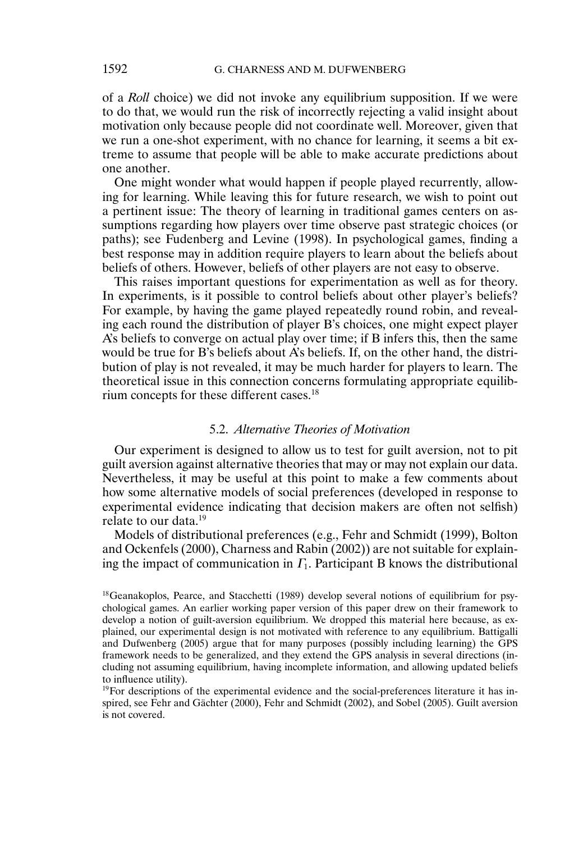of a *Roll* choice) we did not invoke any equilibrium supposition. If we were to do that, we would run the risk of incorrectly rejecting a valid insight about motivation only because people did not coordinate well. Moreover, given that we run a one-shot experiment, with no chance for learning, it seems a bit extreme to assume that people will be able to make accurate predictions about one another.

One might wonder what would happen if people played recurrently, allowing for learning. While leaving this for future research, we wish to point out a pertinent issue: The theory of learning in traditional games centers on assumptions regarding how players over time observe past strategic choices (or paths); see Fudenberg and Levine (1998). In psychological games, finding a best response may in addition require players to learn about the beliefs about beliefs of others. However, beliefs of other players are not easy to observe.

This raises important questions for experimentation as well as for theory. In experiments, is it possible to control beliefs about other player's beliefs? For example, by having the game played repeatedly round robin, and revealing each round the distribution of player B's choices, one might expect player A's beliefs to converge on actual play over time; if B infers this, then the same would be true for B's beliefs about A's beliefs. If, on the other hand, the distribution of play is not revealed, it may be much harder for players to learn. The theoretical issue in this connection concerns formulating appropriate equilibrium concepts for these different cases.<sup>18</sup>

## 5.2. *Alternative Theories of Motivation*

Our experiment is designed to allow us to test for guilt aversion, not to pit guilt aversion against alternative theories that may or may not explain our data. Nevertheless, it may be useful at this point to make a few comments about how some alternative models of social preferences (developed in response to experimental evidence indicating that decision makers are often not selfish) relate to our data.<sup>19</sup>

Models of distributional preferences (e.g., Fehr and Schmidt (1999), Bolton and Ockenfels (2000), Charness and Rabin (2002)) are not suitable for explaining the impact of communication in  $\Gamma_1$ . Participant B knows the distributional

<sup>&</sup>lt;sup>18</sup>Geanakoplos, Pearce, and Stacchetti (1989) develop several notions of equilibrium for psychological games. An earlier working paper version of this paper drew on their framework to develop a notion of guilt-aversion equilibrium. We dropped this material here because, as explained, our experimental design is not motivated with reference to any equilibrium. Battigalli and Dufwenberg (2005) argue that for many purposes (possibly including learning) the GPS framework needs to be generalized, and they extend the GPS analysis in several directions (including not assuming equilibrium, having incomplete information, and allowing updated beliefs to influence utility).

 $19$ For descriptions of the experimental evidence and the social-preferences literature it has inspired, see Fehr and Gächter (2000), Fehr and Schmidt (2002), and Sobel (2005). Guilt aversion is not covered.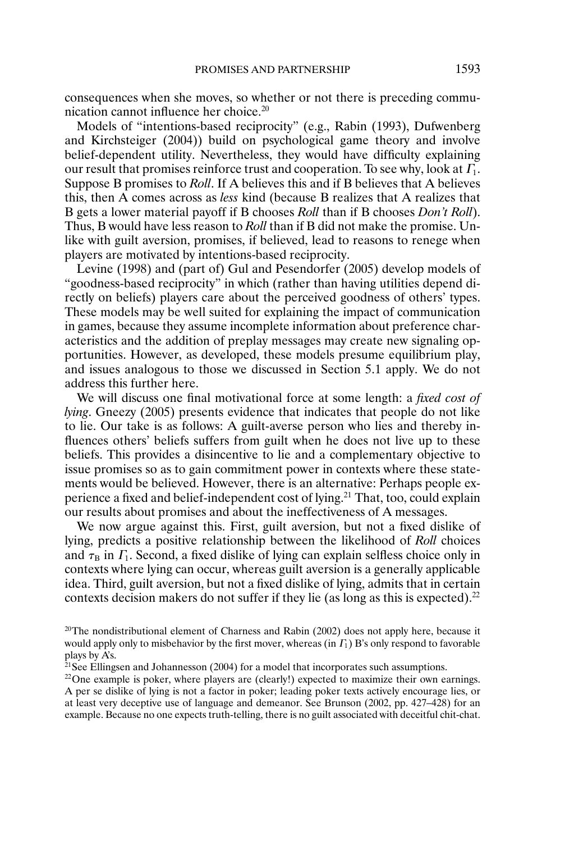consequences when she moves, so whether or not there is preceding communication cannot influence her choice.20

Models of "intentions-based reciprocity" (e.g., Rabin (1993), Dufwenberg and Kirchsteiger (2004)) build on psychological game theory and involve belief-dependent utility. Nevertheless, they would have difficulty explaining our result that promises reinforce trust and cooperation. To see why, look at  $\Gamma_1$ . Suppose B promises to *Roll*. If A believes this and if B believes that A believes this, then A comes across as *less* kind (because B realizes that A realizes that B gets a lower material payoff if B chooses *Roll* than if B chooses *Don't Roll*). Thus, B would have less reason to *Roll* than if B did not make the promise. Unlike with guilt aversion, promises, if believed, lead to reasons to renege when players are motivated by intentions-based reciprocity.

Levine (1998) and (part of) Gul and Pesendorfer (2005) develop models of "goodness-based reciprocity" in which (rather than having utilities depend directly on beliefs) players care about the perceived goodness of others' types. These models may be well suited for explaining the impact of communication in games, because they assume incomplete information about preference characteristics and the addition of preplay messages may create new signaling opportunities. However, as developed, these models presume equilibrium play, and issues analogous to those we discussed in Section 5.1 apply. We do not address this further here.

We will discuss one final motivational force at some length: a *fixed cost of lying*. Gneezy (2005) presents evidence that indicates that people do not like to lie. Our take is as follows: A guilt-averse person who lies and thereby influences others' beliefs suffers from guilt when he does not live up to these beliefs. This provides a disincentive to lie and a complementary objective to issue promises so as to gain commitment power in contexts where these statements would be believed. However, there is an alternative: Perhaps people experience a fixed and belief-independent cost of lying.<sup>21</sup> That, too, could explain our results about promises and about the ineffectiveness of A messages.

We now argue against this. First, guilt aversion, but not a fixed dislike of lying, predicts a positive relationship between the likelihood of *Roll* choices and  $\tau_B$  in  $\Gamma_1$ . Second, a fixed dislike of lying can explain selfless choice only in contexts where lying can occur, whereas guilt aversion is a generally applicable idea. Third, guilt aversion, but not a fixed dislike of lying, admits that in certain contexts decision makers do not suffer if they lie (as long as this is expected).<sup>22</sup>

<sup>&</sup>lt;sup>20</sup>The nondistributional element of Charness and Rabin (2002) does not apply here, because it would apply only to misbehavior by the first mover, whereas (in  $\Gamma_1$ ) B's only respond to favorable plays by A's.

 $21$ See Ellingsen and Johannesson (2004) for a model that incorporates such assumptions.

<sup>&</sup>lt;sup>22</sup>One example is poker, where players are (clearly!) expected to maximize their own earnings. A per se dislike of lying is not a factor in poker; leading poker texts actively encourage lies, or at least very deceptive use of language and demeanor. See Brunson (2002, pp. 427–428) for an example. Because no one expects truth-telling, there is no guilt associated with deceitful chit-chat.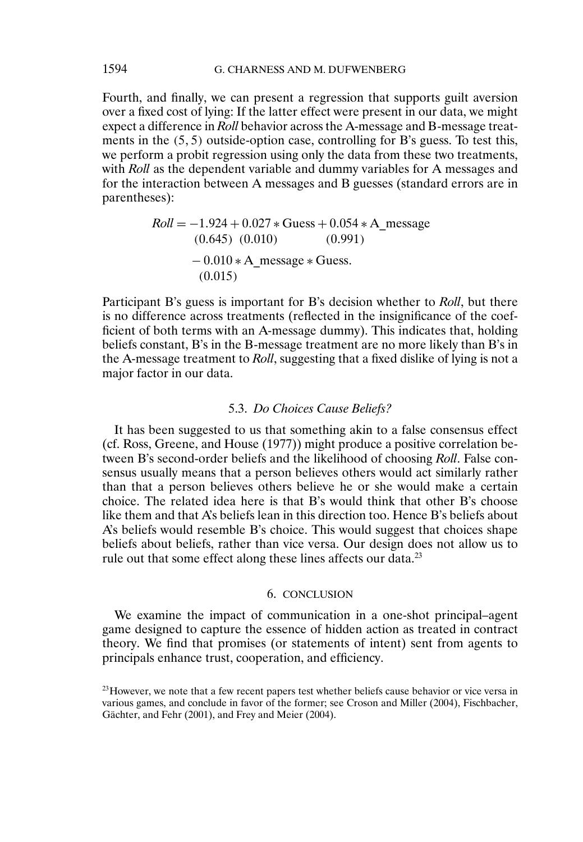Fourth, and finally, we can present a regression that supports guilt aversion over a fixed cost of lying: If the latter effect were present in our data, we might expect a difference in *Roll* behavior across the A-message and B-message treatments in the (5,5) outside-option case, controlling for B's guess. To test this, we perform a probit regression using only the data from these two treatments, with *Roll* as the dependent variable and dummy variables for A messages and for the interaction between A messages and B guesses (standard errors are in parentheses):

$$
Roll = -1.924 + 0.027 * Guess + 0.054 * A_m \text{message}
$$
  
(0.645) (0.010) (0.991)  

$$
-0.010 * A_m \text{message} * Guess.
$$
  
(0.015)

Participant B's guess is important for B's decision whether to *Roll*, but there is no difference across treatments (reflected in the insignificance of the coefficient of both terms with an A-message dummy). This indicates that, holding beliefs constant, B's in the B-message treatment are no more likely than B's in the A-message treatment to *Roll*, suggesting that a fixed dislike of lying is not a major factor in our data.

# 5.3. *Do Choices Cause Beliefs?*

It has been suggested to us that something akin to a false consensus effect (cf. Ross, Greene, and House (1977)) might produce a positive correlation between B's second-order beliefs and the likelihood of choosing *Roll*. False consensus usually means that a person believes others would act similarly rather than that a person believes others believe he or she would make a certain choice. The related idea here is that B's would think that other B's choose like them and that A's beliefs lean in this direction too. Hence B's beliefs about A's beliefs would resemble B's choice. This would suggest that choices shape beliefs about beliefs, rather than vice versa. Our design does not allow us to rule out that some effect along these lines affects our data.<sup>23</sup>

# 6. CONCLUSION

We examine the impact of communication in a one-shot principal–agent game designed to capture the essence of hidden action as treated in contract theory. We find that promises (or statements of intent) sent from agents to principals enhance trust, cooperation, and efficiency.

<sup>&</sup>lt;sup>23</sup>However, we note that a few recent papers test whether beliefs cause behavior or vice versa in various games, and conclude in favor of the former; see Croson and Miller (2004), Fischbacher, Gächter, and Fehr (2001), and Frey and Meier (2004).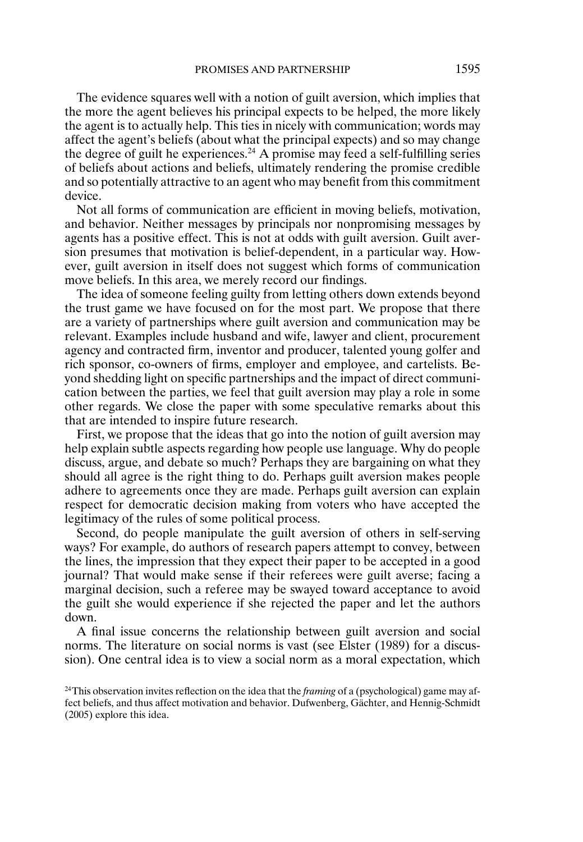The evidence squares well with a notion of guilt aversion, which implies that the more the agent believes his principal expects to be helped, the more likely the agent is to actually help. This ties in nicely with communication; words may affect the agent's beliefs (about what the principal expects) and so may change the degree of guilt he experiences.<sup>24</sup> A promise may feed a self-fulfilling series of beliefs about actions and beliefs, ultimately rendering the promise credible and so potentially attractive to an agent who may benefit from this commitment device.

Not all forms of communication are efficient in moving beliefs, motivation, and behavior. Neither messages by principals nor nonpromising messages by agents has a positive effect. This is not at odds with guilt aversion. Guilt aversion presumes that motivation is belief-dependent, in a particular way. However, guilt aversion in itself does not suggest which forms of communication move beliefs. In this area, we merely record our findings.

The idea of someone feeling guilty from letting others down extends beyond the trust game we have focused on for the most part. We propose that there are a variety of partnerships where guilt aversion and communication may be relevant. Examples include husband and wife, lawyer and client, procurement agency and contracted firm, inventor and producer, talented young golfer and rich sponsor, co-owners of firms, employer and employee, and cartelists. Beyond shedding light on specific partnerships and the impact of direct communication between the parties, we feel that guilt aversion may play a role in some other regards. We close the paper with some speculative remarks about this that are intended to inspire future research.

First, we propose that the ideas that go into the notion of guilt aversion may help explain subtle aspects regarding how people use language. Why do people discuss, argue, and debate so much? Perhaps they are bargaining on what they should all agree is the right thing to do. Perhaps guilt aversion makes people adhere to agreements once they are made. Perhaps guilt aversion can explain respect for democratic decision making from voters who have accepted the legitimacy of the rules of some political process.

Second, do people manipulate the guilt aversion of others in self-serving ways? For example, do authors of research papers attempt to convey, between the lines, the impression that they expect their paper to be accepted in a good journal? That would make sense if their referees were guilt averse; facing a marginal decision, such a referee may be swayed toward acceptance to avoid the guilt she would experience if she rejected the paper and let the authors down.

A final issue concerns the relationship between guilt aversion and social norms. The literature on social norms is vast (see Elster (1989) for a discussion). One central idea is to view a social norm as a moral expectation, which

<sup>&</sup>lt;sup>24</sup>This observation invites reflection on the idea that the *framing* of a (psychological) game may affect beliefs, and thus affect motivation and behavior. Dufwenberg, Gächter, and Hennig-Schmidt (2005) explore this idea.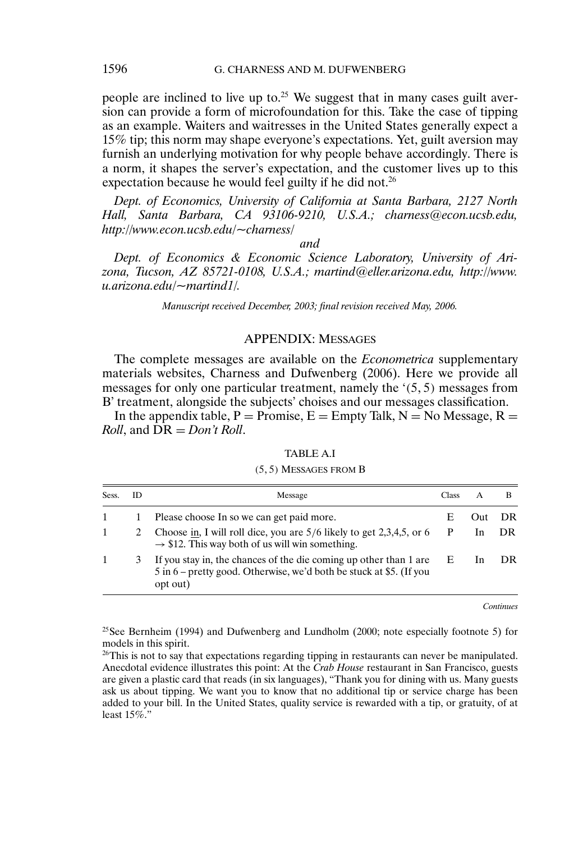people are inclined to live up to.<sup>25</sup> We suggest that in many cases guilt aversion can provide a form of microfoundation for this. Take the case of tipping as an example. Waiters and waitresses in the United States generally expect a 15% tip; this norm may shape everyone's expectations. Yet, guilt aversion may furnish an underlying motivation for why people behave accordingly. There is a norm, it shapes the server's expectation, and the customer lives up to this expectation because he would feel guilty if he did not.<sup>26</sup>

*Dept. of Economics, University of California at Santa Barbara, 2127 North Hall, Santa Barbara, CA 93106-9210, U.S.A.; charness@econ.ucsb.edu, http://www.econ.ucsb.edu/~charness/*

*and*

*Dept. of Economics & Economic Science Laboratory, University of Arizona, Tucson, AZ 85721-0108, U.S.A.; martind@eller.arizona.edu, http://www. u.arizona.edu/~martind1/.*

*Manuscript received December, 2003; final revision received May, 2006.*

# APPENDIX: MESSAGES

The complete messages are available on the *Econometrica* supplementary materials websites, Charness and Dufwenberg (2006). Here we provide all messages for only one particular treatment, namely the '(5, 5) messages from B' treatment, alongside the subjects' choises and our messages classification.

In the appendix table,  $P =$  Promise,  $E =$  Empty Talk,  $N =$  No Message,  $R =$ *Roll*, and DR = *Don't Roll*.

| TABI E A I |
|------------|
|------------|

|  | $(5, 5)$ MESSAGES FROM B |  |
|--|--------------------------|--|
|--|--------------------------|--|

| Sess. | ID | Message                                                                                                                                              | Class |     |      |
|-------|----|------------------------------------------------------------------------------------------------------------------------------------------------------|-------|-----|------|
|       |    | Please choose In so we can get paid more.                                                                                                            | Н,    | Out | - DR |
|       |    | Choose in, I will roll dice, you are $5/6$ likely to get 2,3,4,5, or 6 P<br>$\rightarrow$ \$12. This way both of us will win something.              |       | -In | DR.  |
|       |    | If you stay in, the chances of the die coming up other than 1 are<br>5 in 6 – pretty good. Otherwise, we'd both be stuck at \$5. (If you<br>opt out) | $-E$  | In  | - DR |

*Continues*

<sup>25</sup>See Bernheim (1994) and Dufwenberg and Lundholm (2000; note especially footnote 5) for models in this spirit.

<sup>26</sup>This is not to say that expectations regarding tipping in restaurants can never be manipulated. Anecdotal evidence illustrates this point: At the *Crab House* restaurant in San Francisco, guests are given a plastic card that reads (in six languages), "Thank you for dining with us. Many guests ask us about tipping. We want you to know that no additional tip or service charge has been added to your bill. In the United States, quality service is rewarded with a tip, or gratuity, of at least 15%."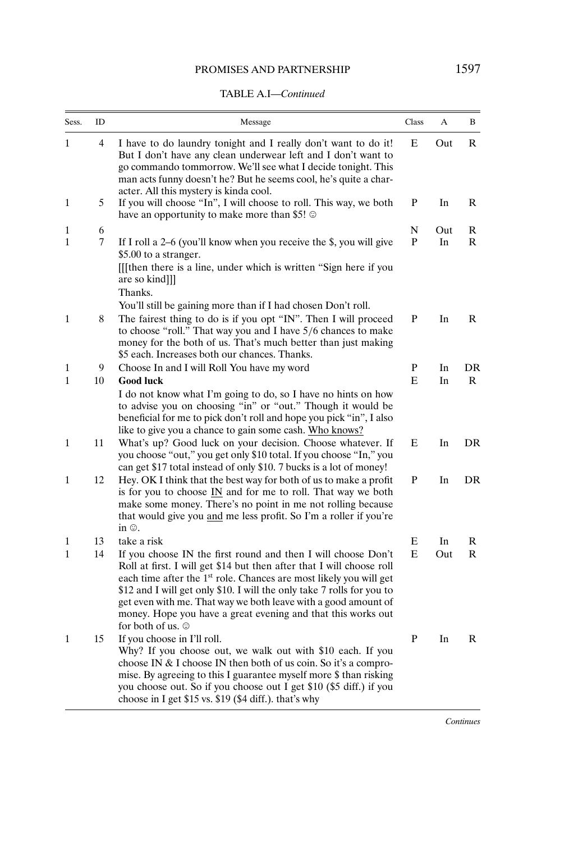# PROMISES AND PARTNERSHIP 1597

## TABLE A.I—*Continued*

| Sess.        | ID | Message                                                                                                                                                                                                                                                                                                                                                                                                                                                   | Class | А   | В  |
|--------------|----|-----------------------------------------------------------------------------------------------------------------------------------------------------------------------------------------------------------------------------------------------------------------------------------------------------------------------------------------------------------------------------------------------------------------------------------------------------------|-------|-----|----|
| 1            | 4  | I have to do laundry tonight and I really don't want to do it!<br>But I don't have any clean underwear left and I don't want to<br>go commando tommorrow. We'll see what I decide tonight. This<br>man acts funny doesn't he? But he seems cool, he's quite a char-<br>acter. All this mystery is kinda cool.                                                                                                                                             | E     | Out | R  |
| 1            | 5  | If you will choose "In", I will choose to roll. This way, we both<br>have an opportunity to make more than \$5! $\circledcirc$                                                                                                                                                                                                                                                                                                                            | P     | In  | R  |
| 1            | 6  |                                                                                                                                                                                                                                                                                                                                                                                                                                                           | N     | Out | R  |
| 1            | 7  | If I roll a $2-6$ (you'll know when you receive the \$, you will give<br>\$5.00 to a stranger.<br>[If then there is a line, under which is written "Sign here if you<br>are so kind]]<br>Thanks.                                                                                                                                                                                                                                                          | P     | In  | R  |
| $\mathbf 1$  | 8  | You'll still be gaining more than if I had chosen Don't roll.<br>The fairest thing to do is if you opt "IN". Then I will proceed<br>to choose "roll." That way you and I have 5/6 chances to make<br>money for the both of us. That's much better than just making<br>\$5 each. Increases both our chances. Thanks.                                                                                                                                       | P     | In  | R  |
| 1            | 9  | Choose In and I will Roll You have my word                                                                                                                                                                                                                                                                                                                                                                                                                | P     | In  | DR |
| 1            | 10 | <b>Good luck</b><br>I do not know what I'm going to do, so I have no hints on how<br>to advise you on choosing "in" or "out." Though it would be<br>beneficial for me to pick don't roll and hope you pick "in", I also<br>like to give you a chance to gain some cash. Who knows?                                                                                                                                                                        | E     | In  | R  |
| 1            | 11 | What's up? Good luck on your decision. Choose whatever. If<br>you choose "out," you get only \$10 total. If you choose "In," you<br>can get \$17 total instead of only \$10. 7 bucks is a lot of money!                                                                                                                                                                                                                                                   | E     | In  | DR |
| $\mathbf{1}$ | 12 | Hey. OK I think that the best way for both of us to make a profit<br>is for you to choose IN and for me to roll. That way we both<br>make some money. There's no point in me not rolling because<br>that would give you and me less profit. So I'm a roller if you're<br>in $\odot$ .                                                                                                                                                                     | P     | In  | DR |
| 1            | 13 | take a risk                                                                                                                                                                                                                                                                                                                                                                                                                                               | E     | In  | R  |
| 1            | 14 | If you choose IN the first round and then I will choose Don't<br>Roll at first. I will get \$14 but then after that I will choose roll<br>each time after the 1 <sup>st</sup> role. Chances are most likely you will get<br>\$12 and I will get only \$10. I will the only take 7 rolls for you to<br>get even with me. That way we both leave with a good amount of<br>money. Hope you have a great evening and that this works out<br>for both of us. ☺ | E     | Out | R  |
| $\mathbf 1$  | 15 | If you choose in I'll roll.<br>Why? If you choose out, we walk out with \$10 each. If you<br>choose IN & I choose IN then both of us coin. So it's a compro-<br>mise. By agreeing to this I guarantee myself more \$ than risking<br>you choose out. So if you choose out I get \$10 (\$5 diff.) if you<br>choose in I get \$15 vs. \$19 (\$4 diff.). that's why                                                                                          | P     | In  | R  |

*Continues*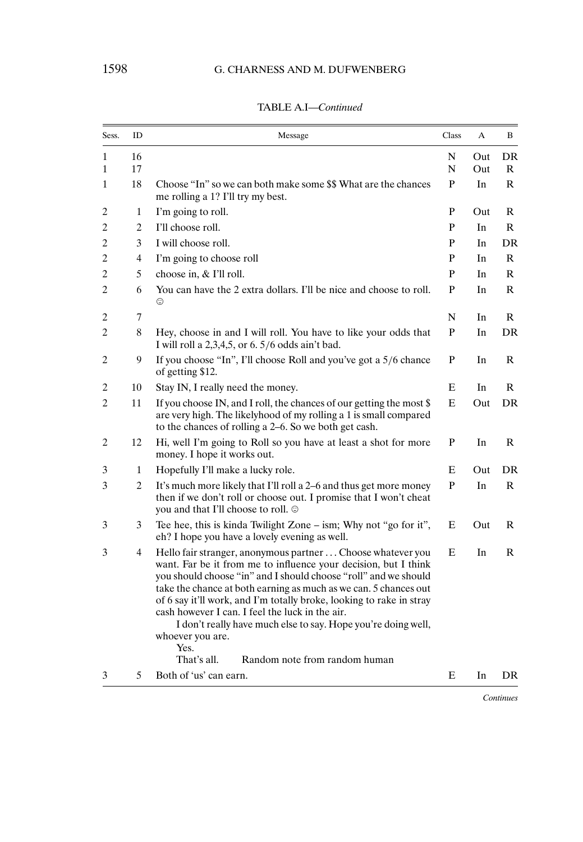| Sess.        | ID | Message                                                                                                                                                                                                                                                                                                                                                                                                                                                                                                                                       | Class | А   | В   |
|--------------|----|-----------------------------------------------------------------------------------------------------------------------------------------------------------------------------------------------------------------------------------------------------------------------------------------------------------------------------------------------------------------------------------------------------------------------------------------------------------------------------------------------------------------------------------------------|-------|-----|-----|
| 1            | 16 |                                                                                                                                                                                                                                                                                                                                                                                                                                                                                                                                               | N     | Out | DR  |
| $\mathbf{1}$ | 17 |                                                                                                                                                                                                                                                                                                                                                                                                                                                                                                                                               | N     | Out | R   |
| 1            | 18 | Choose "In" so we can both make some \$\$ What are the chances<br>me rolling a 1? I'll try my best.                                                                                                                                                                                                                                                                                                                                                                                                                                           | P     | In  | R   |
| 2            | 1  | I'm going to roll.                                                                                                                                                                                                                                                                                                                                                                                                                                                                                                                            | P     | Out | R   |
| 2            | 2  | I'll choose roll.                                                                                                                                                                                                                                                                                                                                                                                                                                                                                                                             | P     | In  | R   |
| 2            | 3  | I will choose roll.                                                                                                                                                                                                                                                                                                                                                                                                                                                                                                                           | P     | In  | DR  |
| 2            | 4  | I'm going to choose roll                                                                                                                                                                                                                                                                                                                                                                                                                                                                                                                      | P     | In  | R   |
| 2            | 5  | choose in, & I'll roll.                                                                                                                                                                                                                                                                                                                                                                                                                                                                                                                       | P     | In  | R   |
| 2            | 6  | You can have the 2 extra dollars. I'll be nice and choose to roll.<br>☺                                                                                                                                                                                                                                                                                                                                                                                                                                                                       | P     | In  | R   |
| 2            | 7  |                                                                                                                                                                                                                                                                                                                                                                                                                                                                                                                                               | N     | In  | R   |
| 2            | 8  | Hey, choose in and I will roll. You have to like your odds that<br>I will roll a 2,3,4,5, or 6.5/6 odds ain't bad.                                                                                                                                                                                                                                                                                                                                                                                                                            | P     | In  | DR. |
| 2            | 9  | If you choose "In", I'll choose Roll and you've got a 5/6 chance<br>of getting \$12.                                                                                                                                                                                                                                                                                                                                                                                                                                                          | P     | In  | R   |
| 2            | 10 | Stay IN, I really need the money.                                                                                                                                                                                                                                                                                                                                                                                                                                                                                                             | E     | In  | R   |
| 2            | 11 | If you choose IN, and I roll, the chances of our getting the most \$<br>are very high. The likelyhood of my rolling a 1 is small compared<br>to the chances of rolling a 2–6. So we both get cash.                                                                                                                                                                                                                                                                                                                                            | E     | Out | DR  |
| 2            | 12 | Hi, well I'm going to Roll so you have at least a shot for more<br>money. I hope it works out.                                                                                                                                                                                                                                                                                                                                                                                                                                                | P     | In  | R   |
| 3            | 1  | Hopefully I'll make a lucky role.                                                                                                                                                                                                                                                                                                                                                                                                                                                                                                             | E     | Out | DR. |
| 3            | 2  | It's much more likely that I'll roll a 2–6 and thus get more money<br>then if we don't roll or choose out. I promise that I won't cheat<br>you and that I'll choose to roll. ©                                                                                                                                                                                                                                                                                                                                                                | P     | In  | R   |
| 3            | 3  | Tee hee, this is kinda Twilight Zone – ism; Why not "go for it",<br>eh? I hope you have a lovely evening as well.                                                                                                                                                                                                                                                                                                                                                                                                                             | E     | Out | R   |
| 3            | 4  | Hello fair stranger, anonymous partner  Choose whatever you<br>want. Far be it from me to influence your decision, but I think<br>you should choose "in" and I should choose "roll" and we should<br>take the chance at both earning as much as we can. 5 chances out<br>of 6 say it'll work, and I'm totally broke, looking to rake in stray<br>cash however I can. I feel the luck in the air.<br>I don't really have much else to say. Hope you're doing well,<br>whoever you are.<br>Yes.<br>That's all.<br>Random note from random human | E     | In  | R   |
| 3            | 5  | Both of 'us' can earn.                                                                                                                                                                                                                                                                                                                                                                                                                                                                                                                        | E     | In  | DR  |

TABLE A.I—*Continued*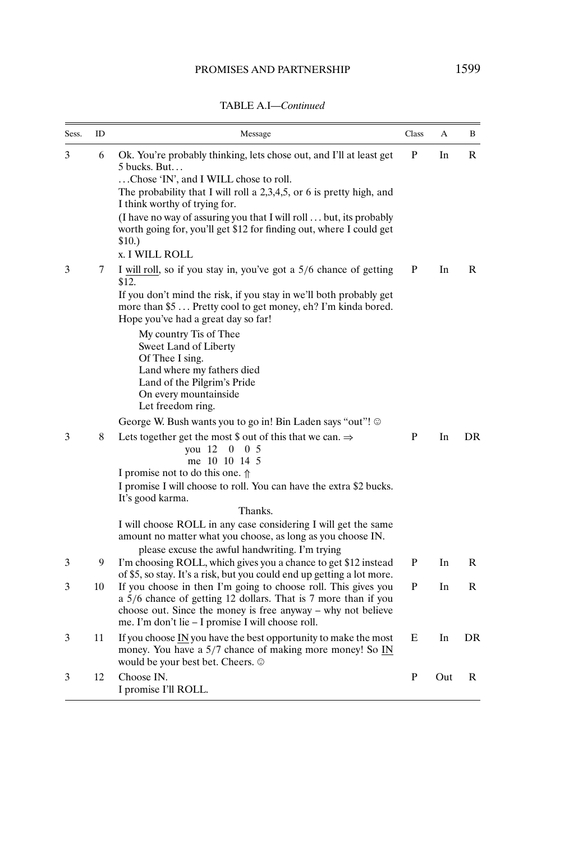| TABLE A.I—Continued |  |
|---------------------|--|
|---------------------|--|

| Sess. | ID | Message                                                                                                                                                                                                                                                                                                                                                                                                                                                                           | Class | А   | В  |
|-------|----|-----------------------------------------------------------------------------------------------------------------------------------------------------------------------------------------------------------------------------------------------------------------------------------------------------------------------------------------------------------------------------------------------------------------------------------------------------------------------------------|-------|-----|----|
| 3     | 6  | Ok. You're probably thinking, lets chose out, and I'll at least get<br>5 bucks. But<br>Chose 'IN', and I WILL chose to roll.<br>The probability that I will roll a $2,3,4,5$ , or 6 is pretty high, and<br>I think worthy of trying for.<br>(I have no way of assuring you that I will roll  but, its probably<br>worth going for, you'll get \$12 for finding out, where I could get<br>\$10.)                                                                                   | P     | In  | R  |
| 3     | 7  | x. I WILL ROLL<br>I will roll, so if you stay in, you've got a 5/6 chance of getting<br>\$12.<br>If you don't mind the risk, if you stay in we'll both probably get<br>more than \$5  Pretty cool to get money, eh? I'm kinda bored.<br>Hope you've had a great day so far!<br>My country Tis of Thee<br>Sweet Land of Liberty<br>Of Thee I sing.<br>Land where my fathers died<br>Land of the Pilgrim's Pride<br>On every mountainside<br>Let freedom ring.                      | P     | In  | R  |
| 3     | 8  | George W. Bush wants you to go in! Bin Laden says "out"! ©<br>Lets together get the most \$ out of this that we can. $\Rightarrow$<br>you 12<br>$\mathbf{0}$<br>0 <sub>5</sub><br>me 10 10 14 5<br>I promise not to do this one. $\uparrow$<br>I promise I will choose to roll. You can have the extra \$2 bucks.<br>It's good karma.<br>Thanks.<br>I will choose ROLL in any case considering I will get the same<br>amount no matter what you choose, as long as you choose IN. | P     | In  | DR |
| 3     | 9  | please excuse the awful handwriting. I'm trying<br>I'm choosing ROLL, which gives you a chance to get \$12 instead                                                                                                                                                                                                                                                                                                                                                                | P     | In  | R  |
| 3     | 10 | of \$5, so stay. It's a risk, but you could end up getting a lot more.<br>If you choose in then I'm going to choose roll. This gives you<br>a 5/6 chance of getting 12 dollars. That is 7 more than if you<br>choose out. Since the money is free anyway – why not believe<br>me. I'm don't lie - I promise I will choose roll.                                                                                                                                                   | P     | In  | R  |
| 3     | 11 | If you choose $\underline{IN}$ you have the best opportunity to make the most<br>money. You have a $5/7$ chance of making more money! So $\underline{IN}$<br>would be your best bet. Cheers. $\circledcirc$                                                                                                                                                                                                                                                                       | E     | In  | DR |
| 3     | 12 | Choose IN.<br>I promise I'll ROLL.                                                                                                                                                                                                                                                                                                                                                                                                                                                | P     | Out | R  |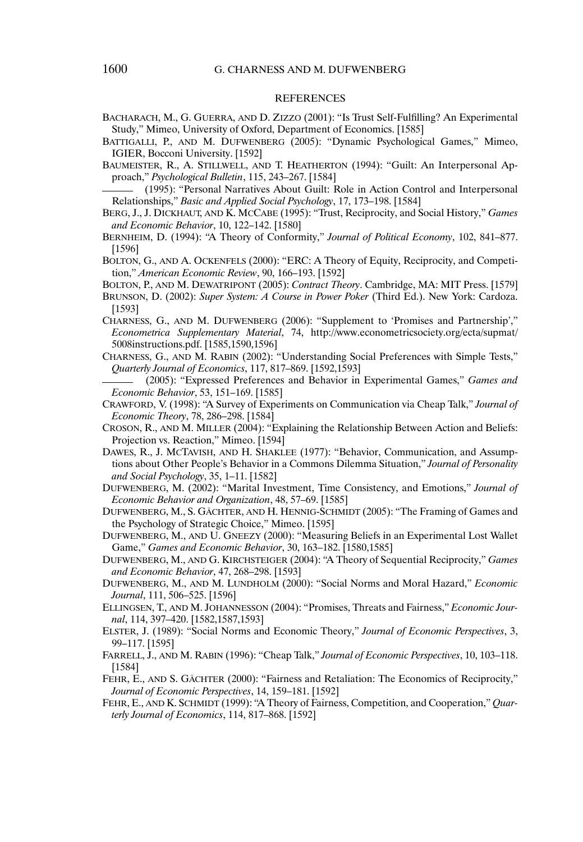#### REFERENCES

- BACHARACH, M., G. GUERRA, AND D. ZIZZO (2001): "Is Trust Self-Fulfilling? An Experimental Study," Mimeo, University of Oxford, Department of Economics. [1585]
- BATTIGALLI, P., AND M. DUFWENBERG (2005): "Dynamic Psychological Games," Mimeo, IGIER, Bocconi University. [1592]
- BAUMEISTER, R., A. STILLWELL, AND T. HEATHERTON (1994): "Guilt: An Interpersonal Approach," *Psychological Bulletin*, 115, 243–267. [1584]
- (1995): "Personal Narratives About Guilt: Role in Action Control and Interpersonal Relationships," *Basic and Applied Social Psychology*, 17, 173–198. [1584]
- BERG, J., J. DICKHAUT, AND K. MCCABE (1995): "Trust, Reciprocity, and Social History," *Games and Economic Behavior*, 10, 122–142. [1580]
- BERNHEIM, D. (1994): "A Theory of Conformity," *Journal of Political Economy*, 102, 841–877. [1596]
- BOLTON, G., AND A. OCKENFELS (2000): "ERC: A Theory of Equity, Reciprocity, and Competition," *American Economic Review*, 90, 166–193. [1592]
- BOLTON, P., AND M. DEWATRIPONT (2005): *Contract Theory*. Cambridge, MA: MIT Press. [1579]
- BRUNSON, D. (2002): *Super System: A Course in Power Poker* (Third Ed.). New York: Cardoza. [1593]
- CHARNESS, G., AND M. DUFWENBERG (2006): "Supplement to 'Promises and Partnership'," *Econometrica Supplementary Material*, 74, http://www.econometricsociety.org/ecta/supmat/ 5008instructions.pdf. [1585,1590,1596]
- CHARNESS, G., AND M. RABIN (2002): "Understanding Social Preferences with Simple Tests," *Quarterly Journal of Economics*, 117, 817–869. [1592,1593]
- (2005): "Expressed Preferences and Behavior in Experimental Games," *Games and Economic Behavior*, 53, 151–169. [1585]
- CRAWFORD, V. (1998): "A Survey of Experiments on Communication via Cheap Talk," *Journal of Economic Theory*, 78, 286–298. [1584]
- CROSON, R., AND M. MILLER (2004): "Explaining the Relationship Between Action and Beliefs: Projection vs. Reaction," Mimeo. [1594]
- DAWES, R., J. MCTAVISH, AND H. SHAKLEE (1977): "Behavior, Communication, and Assumptions about Other People's Behavior in a Commons Dilemma Situation," *Journal of Personality and Social Psychology*, 35, 1–11. [1582]
- DUFWENBERG, M. (2002): "Marital Investment, Time Consistency, and Emotions," *Journal of Economic Behavior and Organization*, 48, 57–69. [1585]
- DUFWENBERG, M., S. GÄCHTER, AND H. HENNIG-SCHMIDT (2005): "The Framing of Games and the Psychology of Strategic Choice," Mimeo. [1595]
- DUFWENBERG, M., AND U. GNEEZY (2000): "Measuring Beliefs in an Experimental Lost Wallet Game," *Games and Economic Behavior*, 30, 163–182. [1580,1585]
- DUFWENBERG, M., AND G. KIRCHSTEIGER (2004): "A Theory of Sequential Reciprocity," *Games and Economic Behavior*, 47, 268–298. [1593]
- DUFWENBERG, M., AND M. LUNDHOLM (2000): "Social Norms and Moral Hazard," *Economic Journal*, 111, 506–525. [1596]
- ELLINGSEN, T., AND M. JOHANNESSON (2004): "Promises, Threats and Fairness," *Economic Journal*, 114, 397–420. [1582,1587,1593]
- ELSTER, J. (1989): "Social Norms and Economic Theory," *Journal of Economic Perspectives*, 3, 99–117. [1595]
- FARRELL, J., AND M. RABIN (1996): "Cheap Talk," *Journal of Economic Perspectives*, 10, 103–118. [1584]
- FEHR, E., AND S. GÄCHTER (2000): "Fairness and Retaliation: The Economics of Reciprocity," *Journal of Economic Perspectives*, 14, 159–181. [1592]
- FEHR, E., AND K. SCHMIDT (1999): "A Theory of Fairness, Competition, and Cooperation," *Quarterly Journal of Economics*, 114, 817–868. [1592]